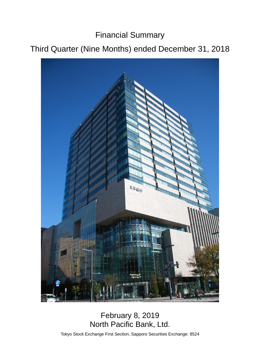Financial Summary

# Third Quarter (Nine Months) ended December 31, 2018



# February 8, 2019 North Pacific Bank, Ltd.

Tokyo Stock Exchange First Section, Sapporo Securities Exchange: 8524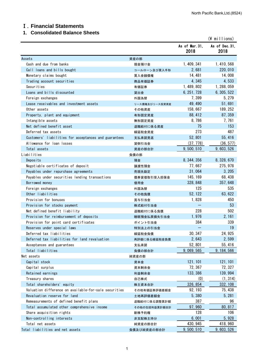# Ⅰ.**Financial Statements**

# **1**.**Consolidated Balance Sheets**

|                                                       |                |                        | $(\frac{2}{3})$ millions) |
|-------------------------------------------------------|----------------|------------------------|---------------------------|
|                                                       |                | As of Mar. 31,<br>2018 | As of Dec. 31.<br>2018    |
| Assets                                                | 資産の部           |                        |                           |
| Cash and due from banks                               | 現金預け金          | 1, 409, 341            | 1, 410, 568               |
| Call loans and bills bought                           | コールローン及び買入手形   | 2,681                  | 220, 010                  |
| Monetary claims bought                                | 買入金銭債権         | 14, 481                | 14,008                    |
| Trading account securities                            | 商品有価証券         | 4,345                  | 4,533                     |
| Securities                                            | 有価証券           | 1, 489, 802            | 1, 288, 059               |
| Loans and bills discounted                            | 貸出金            | 6, 251, 728            | 6, 305, 522               |
| Foreign exchanges                                     | 外国為替           | 7,399                  | 5, 279                    |
| Lease receivables and investment assets               | リース債権及びリース投資資産 | 49, 490                | 51,691                    |
| Other assets                                          | その他資産          | 158,667                | 189, 252                  |
| Property, plant and equipment                         | 有形固定資産         | 88, 412                | 87, 359                   |
| Intangible assets                                     | 無形固定資産         | 8,786                  | 7, 761                    |
| Net defined benefit asset                             | 退職給付に係る資産      | 75                     | 153                       |
| Deferred tax assets                                   | 繰延税金資産         | 273                    | 487                       |
| Customers' liabilities for acceptances and guarantees | 支払承諾見返         | 52,801                 | 55, 416                   |
| Allowance for loan losses                             | 貸倒引当金          | (37, 778)              | (36, 577)                 |
| Total assets                                          | 資産の部合計         | 9, 500, 510            | 9, 603, 526               |
| Liabilities                                           | 負債の部           |                        |                           |
| Deposits                                              | 預金             | 8, 344, 356            | 8, 328, 670               |
| Negotiable certificates of deposit                    | 譲渡性預金          | 77,667                 | 275, 978                  |
| Payables under repurchase agreements                  | 売現先勘定          | 31,064                 | 3, 205                    |
| Payables under securities lending transactions        | 債券貸借取引受入担保金    | 145, 169               | 68, 438                   |
| Borrowed money                                        | 借用金            | 328, 848               | 357, 648                  |
| Foreign exchanges                                     | 外国為替           | 125                    | 535                       |
| Other liabilities                                     | その他負債          | 52, 122                | 63, 622                   |
| Provision for bonuses                                 | 賞与引当金          | 1,828                  | 450                       |
| Provision for stocks payment                          | 株式給付引当金        |                        | 53                        |
| Net defined benefit liability                         | 退職給付に係る負債      | 228                    | 502                       |
| Provision for reimbursement of deposits               | 睡眠預金払戻損失引当金    | 1,976                  | 2, 161                    |
| Provision for point card certificates                 | ポイント引当金        | 384                    | 339                       |
| Reserves under special laws                           | 特別法上の引当金       |                        | 19                        |
| Deferred tax liabilities                              | 繰延税金負債         | 30, 347                | 24, 925                   |
| Deferred tax liabilities for land revaluation         | 再評価に係る繰延税金負債   | 2,643                  | 2,599                     |
| Acceptances and guarantees                            | 支払承諾           | 52,801                 | 55, 416                   |
| Total liabilities                                     | 負債の部合計         | 9, 069, 565            | 9, 184, 566               |
| Net assets                                            | 純資産の部          |                        |                           |
| Capital stock                                         | 資本金            | 121, 101               | 121, 101                  |
| Capital surplus                                       | 資本剰余金          | 72, 367                | 72, 327                   |
| Retained earnings                                     | 利益剰余金          | 133, 386               | 139, 994                  |
| Treasury shares                                       | 自己株式           | (0)                    | (1, 314)                  |
| Total shareholders' equity                            | 株主資本合計         | 326, 854               | 332, 108                  |
| Valuation difference on available-for-sale securities | その他有価証券評価差額金   | 92, 193                | 75, 438                   |
| Revaluation reserve for land                          | 土地再評価差額金       | 5,380                  | 5, 281                    |
| Remeasurements of defined benefit plans               | 退職給付に係る調整累計額   | 387                    | 96                        |
| Total accumulated other comprehensive income          | その他の包括利益累計額合計  | 97, 960                | 80, 817                   |
| Share acquisition rights                              | 新株予約権          | 128                    | 106                       |
| Non-controlling interests                             | 非支配株主持分        | 6,001                  | 5,928                     |
| Total net assets                                      | 純資産の部合計        | 430, 945               | 418, 960                  |
| Total liabilities and net assets                      | 負債及び純資産の部合計    | 9, 500, 510            | 9, 603, 526               |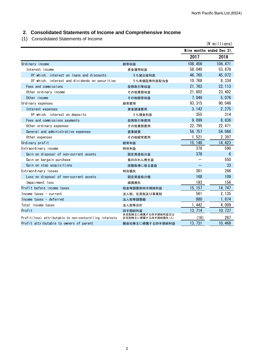# **2**.**Consolidated Statements of Income and Comprehensive Income**

(1) Consolidated Statements of Income

| $\cdots$<br><b>Ponsolidated Otalements of Income</b>    |                                           |                            | $(*)$ millions) |
|---------------------------------------------------------|-------------------------------------------|----------------------------|-----------------|
|                                                         |                                           | Nine months ended Dec. 31, |                 |
|                                                         |                                           | 2017                       | 2018            |
| Ordinary income                                         | 経常収益                                      | 108, 456                   | 104, 471        |
| Interest income                                         | 資金運用収益                                    | 58,040                     | 53, 878         |
| Of which, interest on loans and discounts               | うち貸出金利息                                   | 46, 765                    | 45, 072         |
| Of which, interest and dividends on securities          | うち有価証券利息配当金                               | 10, 768                    | 8,334           |
| Fees and commissions                                    | 役務取引等収益                                   | 21, 763                    | 22, 113         |
| Other ordinary income                                   | その他業務収益                                   | 21,602                     | 23, 402         |
| Other income                                            | その他経常収益                                   | 7,049                      | 5,076           |
| Ordinary expenses                                       | 経常費用                                      | 93, 315                    | 90, 048         |
| Interest expenses                                       | 資金調達費用                                    | 3, 142                     | 2, 275          |
| Of which, interest on deposits                          | うち預金利息                                    | 355                        | 314             |
| Fees and commissions payments                           | 役務取引等費用                                   | 9,099                      | 8,836           |
| Other ordinary expenses                                 | その他業務費用                                   | 22, 795                    | 22, 471         |
| General and administrative expenses                     | 営業経費                                      | 56, 757                    | 54,066          |
| Other expenses                                          | その他経常費用                                   | 1,521                      | 2,397           |
| Ordinary profit                                         | 経常利益                                      | 15, 140                    | 14, 423         |
| Extraordinary income                                    | 特別利益                                      | 378                        | 590             |
| Gain on disposal of non-current assets                  | 固定資産処分益                                   | 378                        | 6               |
| Gain on bargain purchase                                | 負ののれん発生益                                  |                            | 550             |
| Gain on step acquisitions                               | 段階取得に係る差益                                 |                            | 33              |
| Extraordinary losses                                    | 特別損失                                      | 361                        | 266             |
| Loss on disposal of non-current assets                  | 固定資産処分損                                   | 168                        | 109             |
| Impairment loss                                         | 減損損失                                      | 193                        | 156             |
| Profit before income taxes                              | 税金等調整前四半期純利益                              | 15, 157                    | 14, 747         |
| Income taxes - current                                  | 法人税、住民税及び事業税                              | 561                        | 2, 135          |
| Income taxes - deferred                                 | 法人税等調整額                                   | 880                        | 1,874           |
| Total income taxes                                      | 法人税等合計                                    | 1,442                      | 4,009           |
| Profit                                                  | 四半期純利益                                    | 13, 714                    | 10, 737         |
| Profit(loss) attributable to non-contorolling interests | 非支配株主に帰属する四半期純利益又は<br>非支配株主に帰属する四半期純損失(△) | (16)                       | 267             |
| Profit attributable to owners of parent                 | 親会社株主に帰属する四半期純利益                          | 13, 731                    | 10,469          |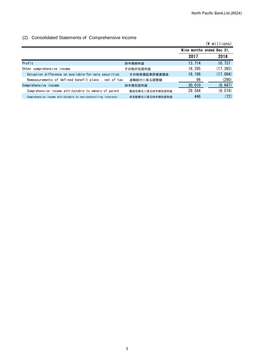### (2) Consolidated Statements of Comprehensive Income

|                                                                 |                 |                            | $(\frac{2}{3})$ millions) |
|-----------------------------------------------------------------|-----------------|----------------------------|---------------------------|
|                                                                 |                 | Nine months ended Dec. 31, |                           |
|                                                                 |                 | 2017                       | 2018                      |
| Profit                                                          | 四半期純利益          | 13, 714                    | 10, 737                   |
| Other comprehensive income                                      | その他の包括利益        | 16, 295                    | (17, 385)                 |
| Valuation difference on available-for-sale securities           | その他有価証券評価差額金    | 16, 198                    | (17, 094)                 |
| Remeasurements of defined benefit plans, net of tax             | 退職給付に係る調整額      | 96                         | (290)                     |
| Comprehensive income                                            | 四半期包括利益         | 30, 010                    | (6, 647)                  |
| Comprehensive income attributable to owners of parent           | 親会社株主に係る四半期包括利益 | 29, 564                    | (6, 574)                  |
| Comprehensive income attributable to non-contorolling interests | 非支配株主に係る四半期包括利益 | 446                        | (72)                      |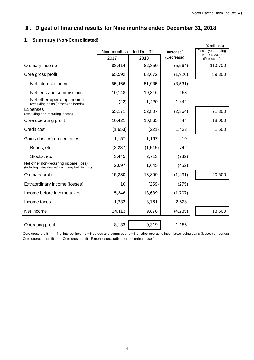# Ⅱ.**Digest of financial results for Nine months ended December 31, 2018**

|  |  | 1. Summary (Non-Consolidated) |
|--|--|-------------------------------|
|--|--|-------------------------------|

|                                                                                            |                                                                   |                           |          |            | (¥ millions)                        |
|--------------------------------------------------------------------------------------------|-------------------------------------------------------------------|---------------------------|----------|------------|-------------------------------------|
|                                                                                            |                                                                   | Nine months ended Dec.31, |          | Increase/  | Fiscial year ending<br>Mar.31, 2019 |
|                                                                                            |                                                                   | 2017                      | 2018     | (Decrease) | (Forecasts)                         |
|                                                                                            | Ordinary income                                                   | 88,414                    | 82,850   | (5, 564)   | 110,700                             |
|                                                                                            | Core gross profit                                                 | 65,592                    | 63,672   | (1,920)    | 89,300                              |
|                                                                                            | Net interest income                                               | 55,466                    | 51,935   | (3,531)    |                                     |
|                                                                                            | Net fees and commissions                                          | 10,148                    | 10,316   | 168        |                                     |
|                                                                                            | Net other operating income<br>(excluding gains (losses) on bonds) | (22)                      | 1,420    | 1,442      |                                     |
|                                                                                            | <b>Expenses</b><br>(excluding non-recurring losses)               | 55,171                    | 52,807   | (2, 364)   | 71,300                              |
|                                                                                            | Core operating profit                                             | 10,421                    | 10,865   | 444        | 18,000                              |
| Credit cost                                                                                |                                                                   | (1,653)                   | (221)    | 1,432      | 1,500                               |
|                                                                                            | Gains (losses) on securities                                      | 1,157                     | 1,167    | 10         |                                     |
|                                                                                            | Bonds, etc                                                        | (2, 287)                  | (1, 545) | 742        |                                     |
|                                                                                            | Stocks, etc                                                       | 3,445                     | 2,713    | (732)      |                                     |
| Net other non-recurring income (loss)<br>(including gains (losses) on money held in trust) |                                                                   | 2,097                     | 1,645    | (452)      |                                     |
|                                                                                            | Ordinary profit                                                   | 15,330                    | 13,899   | (1, 431)   | 20,500                              |
| Extraordinary income (losses)                                                              |                                                                   | 16                        | (259)    | (275)      |                                     |
| Income before income taxes                                                                 |                                                                   | 15,346                    | 13,639   | (1,707)    |                                     |
| Income taxes                                                                               |                                                                   | 1,233                     | 3,761    | 2,528      |                                     |
|                                                                                            | Net income                                                        | 14,113                    | 9,878    | (4, 235)   | 13,500                              |
|                                                                                            |                                                                   |                           |          |            |                                     |
| Operating profit                                                                           |                                                                   | 8,133                     | 9,319    | 1,186      |                                     |

Core gross profit = Net interest income + Net fees and commissions + Net other operating income(excluding gains (losses) on bonds) Core operating profit = Core gross profit - Expenses(excluding non-recurring losses)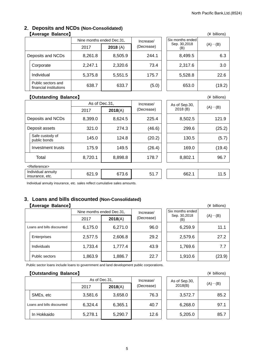#### **2**.**Deposits and NCDs (Non-Consolidated) 【Average Balance】** (¥ billions)

|                                              | Nine months ended Dec.31, |         | Increase/  | Six months ended    |             |
|----------------------------------------------|---------------------------|---------|------------|---------------------|-------------|
|                                              | 2017                      | 2018(A) | (Decrease) | Sep. 30,2018<br>(B) | $(A)$ – (B) |
| Deposits and NCDs                            | 8,261.8                   | 8,505.9 | 244.1      | 8,499.5             | 6.3         |
| Corporate                                    | 2,247.1                   | 2,320.6 | 73.4       | 2,317.6             | 3.0         |
| Individual                                   | 5,375.8                   | 5,551.5 | 175.7      | 5,528.8             | 22.6        |
| Public sectors and<br>financial institutions | 638.7                     | 633.7   | (5.0)      | 653.0               | (19.2)      |

|                                         | (¥ billions) |
|-----------------------------------------|--------------|
| Six months ended<br>Sep. 30,2018<br>(B) | $(A) - (B)$  |
| 8,499.5                                 | 6.3          |
| 2,317.6                                 | 3.0          |
| 5,528.8                                 | 22.6         |
| 653.0                                   | (19.2)       |

#### 【**Outstanding Balance**】 (¥ billions)

|                                       | As of Dec.31, |         | Increase/  | As of Sep.30, |             |
|---------------------------------------|---------------|---------|------------|---------------|-------------|
|                                       | 2017          | 2018(A) | (Decrease) | 2018(B)       | $(A)$ – (B) |
| Deposits and NCDs                     | 8,399.0       | 8,624.5 | 225.4      | 8,502.5       | 121.9       |
| Deposit assets                        | 321.0         | 274.3   | (46.6)     | 299.6         | (25.2)      |
| Safe custody of<br>public bonds       | 145.0         | 124.8   | (20.2)     | 130.5         | (5.7)       |
| Investment trusts                     | 175.9         | 149.5   | (26.4)     | 169.0         | (19.4)      |
| Total                                 | 8,720.1       | 8,898.8 | 178.7      | 8,802.1       | 96.7        |
| <reference></reference>               |               |         |            |               |             |
| Individual annuity<br>insurance, etc. | 621.9         | 673.6   | 51.7       | 662.1         | 11.5        |

Individual annuity insurance, etc. sales reflect cumulative sales amounts.

# **3**.**Loans and bills discounted (Non-Consolidated)** 【Average Balance】

|                            |                    | Nine months ended Dec.31, |         | Increase/  |  | Six months ended                   |        |
|----------------------------|--------------------|---------------------------|---------|------------|--|------------------------------------|--------|
|                            |                    | 2017                      | 2018(A) | (Decrease) |  | Sep. 30,2018<br>$(A)$ – (B)<br>(B) |        |
| Loans and bills discounted |                    | 6,175.0                   | 6,271.0 | 96.0       |  | 6,259.9                            | 11.1   |
|                            | Enterprises        | 2,577.5                   | 2,606.8 | 29.2       |  | 2,579.6                            | 27.2   |
|                            | <b>Individuals</b> | 1,733.4                   | 1,777.4 | 43.9       |  | 1,769.6                            | 7.7    |
|                            | Public sectors     | 1,863.9                   | 1,886.7 | 22.7       |  | 1,910.6                            | (23.9) |

|                                         | (¥ billions) |
|-----------------------------------------|--------------|
| Six months ended<br>Sep. 30,2018<br>(B) | $(A) - (B)$  |
| 6,259.9                                 | 11.1         |
| 2,579.6                                 | 27.2         |
| 1,769.6                                 | 7.7          |
| 1,910.6                                 | (23.9)       |

Public sector loans include loans to government and land development public corporations.

#### 【**Outstanding Balance**】 (¥ billions)

|  |                            | As of Dec.31. |         | Increase/  | As of Sep.30, | $(A)$ – (B) |
|--|----------------------------|---------------|---------|------------|---------------|-------------|
|  |                            | 2017          | 2018(A) | (Decrease) | 2018(B)       |             |
|  | SMEs, etc                  | 3,581.6       | 3,658.0 | 76.3       | 3,572.7       | 85.2        |
|  | Loans and bills discounted | 6,324.4       | 6,365.1 | 40.7       | 6,268.0       | 97.1        |
|  | In Hokkaido                | 5,278.1       | 5,290.7 | 12.6       | 5,205.0       | 85.7        |

|                          | († DIIIIONS) |
|--------------------------|--------------|
| As of Sep.30,<br>2018(B) | $(A) - (B)$  |
| 3,572.7                  | 85.2         |
| 6,268.0                  | 97.1         |
| 5,205.0                  | 85.7         |